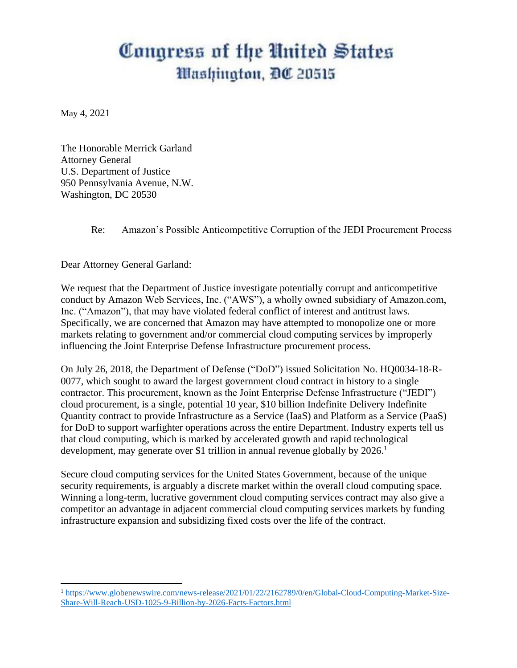## Congress of the United States *Mashington, DC 20515*

May 4, 2021

 $\overline{\phantom{a}}$ 

The Honorable Merrick Garland Attorney General U.S. Department of Justice 950 Pennsylvania Avenue, N.W. Washington, DC 20530

Re: Amazon's Possible Anticompetitive Corruption of the JEDI Procurement Process

Dear Attorney General Garland:

We request that the Department of Justice investigate potentially corrupt and anticompetitive conduct by Amazon Web Services, Inc. ("AWS"), a wholly owned subsidiary of Amazon.com, Inc. ("Amazon"), that may have violated federal conflict of interest and antitrust laws. Specifically, we are concerned that Amazon may have attempted to monopolize one or more markets relating to government and/or commercial cloud computing services by improperly influencing the Joint Enterprise Defense Infrastructure procurement process.

On July 26, 2018, the Department of Defense ("DoD") issued Solicitation No. HQ0034-18-R-0077, which sought to award the largest government cloud contract in history to a single contractor. This procurement, known as the Joint Enterprise Defense Infrastructure ("JEDI") cloud procurement, is a single, potential 10 year, \$10 billion Indefinite Delivery Indefinite Quantity contract to provide Infrastructure as a Service (IaaS) and Platform as a Service (PaaS) for DoD to support warfighter operations across the entire Department. Industry experts tell us that cloud computing, which is marked by accelerated growth and rapid technological development, may generate over \$1 trillion in annual revenue globally by 2026.<sup>1</sup>

Secure cloud computing services for the United States Government, because of the unique security requirements, is arguably a discrete market within the overall cloud computing space. Winning a long-term, lucrative government cloud computing services contract may also give a competitor an advantage in adjacent commercial cloud computing services markets by funding infrastructure expansion and subsidizing fixed costs over the life of the contract.

<sup>1</sup> [https://www.globenewswire.com/news-release/2021/01/22/2162789/0/en/Global-Cloud-Computing-Market-Size-](https://www.globenewswire.com/news-release/2021/01/22/2162789/0/en/Global-Cloud-Computing-Market-Size-Share-Will-Reach-USD-1025-9-Billion-by-2026-Facts-Factors.html)[Share-Will-Reach-USD-1025-9-Billion-by-2026-Facts-Factors.html](https://www.globenewswire.com/news-release/2021/01/22/2162789/0/en/Global-Cloud-Computing-Market-Size-Share-Will-Reach-USD-1025-9-Billion-by-2026-Facts-Factors.html)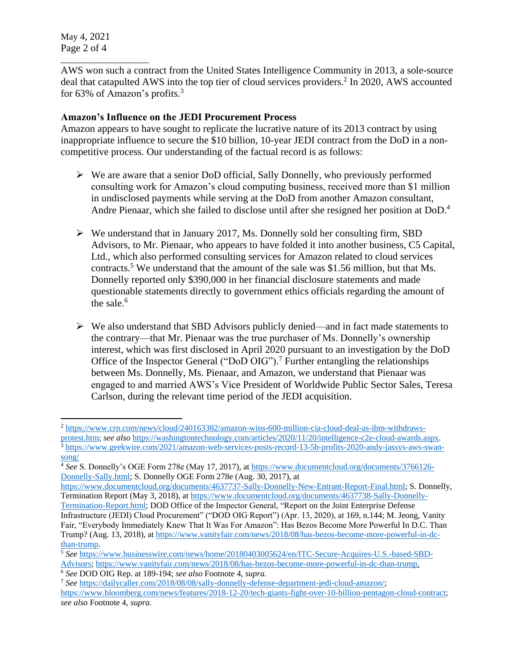May 4, 2021 Page 2 of 4

 $\overline{a}$ 

\_\_\_\_\_\_\_\_\_\_\_\_\_\_\_\_\_\_\_

AWS won such a contract from the United States Intelligence Community in 2013, a sole-source deal that catapulted AWS into the top tier of cloud services providers.<sup>2</sup> In 2020, AWS accounted for 63% of Amazon's profits.<sup>3</sup>

## **Amazon's Influence on the JEDI Procurement Process**

Amazon appears to have sought to replicate the lucrative nature of its 2013 contract by using inappropriate influence to secure the \$10 billion, 10-year JEDI contract from the DoD in a noncompetitive process. Our understanding of the factual record is as follows:

- $\triangleright$  We are aware that a senior DoD official, Sally Donnelly, who previously performed consulting work for Amazon's cloud computing business, received more than \$1 million in undisclosed payments while serving at the DoD from another Amazon consultant, Andre Pienaar, which she failed to disclose until after she resigned her position at DoD. 4
- $\triangleright$  We understand that in January 2017, Ms. Donnelly sold her consulting firm, SBD Advisors, to Mr. Pienaar, who appears to have folded it into another business, C5 Capital, Ltd., which also performed consulting services for Amazon related to cloud services contracts.<sup>5</sup> We understand that the amount of the sale was \$1.56 million, but that Ms. Donnelly reported only \$390,000 in her financial disclosure statements and made questionable statements directly to government ethics officials regarding the amount of the sale. $6$
- $\triangleright$  We also understand that SBD Advisors publicly denied—and in fact made statements to the contrary—that Mr. Pienaar was the true purchaser of Ms. Donnelly's ownership interest, which was first disclosed in April 2020 pursuant to an investigation by the DoD Office of the Inspector General ("DoD OIG").<sup>7</sup> Further entangling the relationships between Ms. Donnelly, Ms. Pienaar, and Amazon, we understand that Pienaar was engaged to and married AWS's Vice President of Worldwide Public Sector Sales, Teresa Carlson, during the relevant time period of the JEDI acquisition.

<sup>&</sup>lt;sup>2</sup> [https://www.crn.com/news/cloud/240163382/amazon-wins-600-million-cia-cloud-deal-as-ibm-withdraws](https://www.crn.com/news/cloud/240163382/amazon-wins-600-million-cia-cloud-deal-as-ibm-withdraws-protest.htm)[protest.htm;](https://www.crn.com/news/cloud/240163382/amazon-wins-600-million-cia-cloud-deal-as-ibm-withdraws-protest.htm) *see also* [https://washingtontechnology.com/articles/2020/11/20/intelligence-c2e-cloud-awards.aspx.](https://washingtontechnology.com/articles/2020/11/20/intelligence-c2e-cloud-awards.aspx) <sup>3</sup> [https://www.geekwire.com/2021/amazon-web-services-posts-record-13-5b-profits-2020-andy-jassys-aws-swan](https://www.geekwire.com/2021/amazon-web-services-posts-record-13-5b-profits-2020-andy-jassys-aws-swan-song/)[song/](https://www.geekwire.com/2021/amazon-web-services-posts-record-13-5b-profits-2020-andy-jassys-aws-swan-song/)

<sup>4</sup> *See* S. Donnelly's OGE Form 278e (May 17, 2017), at [https://www.documentcloud.org/documents/3766126-](https://www.documentcloud.org/documents/3766126-Donnelly-Sally.html) [Donnelly-Sally.html;](https://www.documentcloud.org/documents/3766126-Donnelly-Sally.html) S. Donnelly OGE Form 278e (Aug. 30, 2017), at

[https://www.documentcloud.org/documents/4637737-Sally-Donnelly-New-Entrant-Report-Final.html;](https://www.documentcloud.org/documents/4637737-Sally-Donnelly-New-Entrant-Report-Final.html) S. Donnelly, Termination Report (May 3, 2018), at [https://www.documentcloud.org/documents/4637738-Sally-Donnelly-](https://www.documentcloud.org/documents/4637738-Sally-Donnelly-Termination-Report.html)

[Termination-Report.html;](https://www.documentcloud.org/documents/4637738-Sally-Donnelly-Termination-Report.html) DOD Office of the Inspector General, "Report on the Joint Enterprise Defense Infrastructure (JEDI) Cloud Procurement" ("DOD OIG Report") (Apr. 13, 2020), at 169, n.144; M. Jeong, Vanity Fair, "Everybody Immediately Knew That It Was For Amazon": Has Bezos Become More Powerful In D.C. Than Trump? (Aug. 13, 2018), at [https://www.vanityfair.com/news/2018/08/has-bezos-become-more-powerful-in-dc](https://www.vanityfair.com/news/2018/08/has-bezos-become-more-powerful-in-dc-than-trump)[than-trump.](https://www.vanityfair.com/news/2018/08/has-bezos-become-more-powerful-in-dc-than-trump)

<sup>5</sup> *See* [https://www.businesswire.com/news/home/20180403005624/en/ITC-Secure-Acquires-U.S.-based-SBD-](https://www.businesswire.com/news/home/20180403005624/en/ITC-Secure-Acquires-U.S.-based-SBD-Advisors)[Advisors;](https://www.businesswire.com/news/home/20180403005624/en/ITC-Secure-Acquires-U.S.-based-SBD-Advisors) [https://www.vanityfair.com/news/2018/08/has-bezos-become-more-powerful-in-dc-than-trump.](https://www.vanityfair.com/news/2018/08/has-bezos-become-more-powerful-in-dc-than-trump) 

<sup>6</sup> *See* DOD OIG Rep. at 189-194; *see also* Footnote 4, *supra.*

<sup>7</sup> *See* [https://dailycaller.com/2018/08/08/sally-donnelly-defense-department-jedi-cloud-amazon/;](https://dailycaller.com/2018/08/08/sally-donnelly-defense-department-jedi-cloud-amazon/) [https://www.bloomberg.com/news/features/2018-12-20/tech-giants-fight-over-10-billion-pentagon-cloud-contract;](https://www.bloomberg.com/news/features/2018-12-20/tech-giants-fight-over-10-billion-pentagon-cloud-contract) *see also* Footnote 4, *supra.*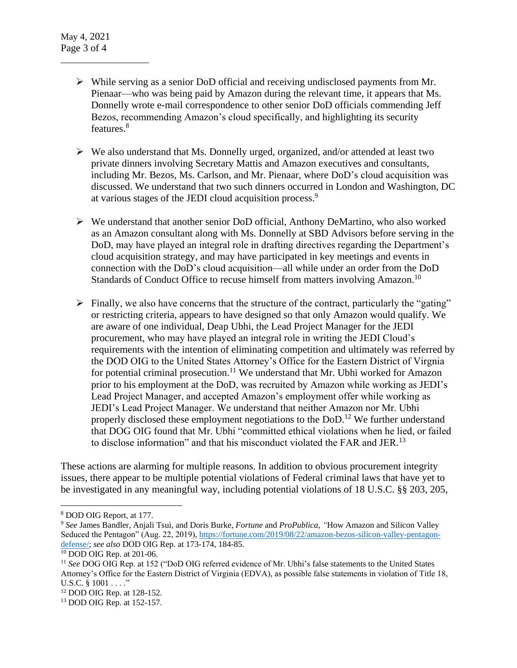\_\_\_\_\_\_\_\_\_\_\_\_\_\_\_\_\_\_\_

- $\triangleright$  While serving as a senior DoD official and receiving undisclosed payments from Mr. Pienaar—who was being paid by Amazon during the relevant time, it appears that Ms. Donnelly wrote e-mail correspondence to other senior DoD officials commending Jeff Bezos, recommending Amazon's cloud specifically, and highlighting its security features.<sup>8</sup>
- $\triangleright$  We also understand that Ms. Donnelly urged, organized, and/or attended at least two private dinners involving Secretary Mattis and Amazon executives and consultants, including Mr. Bezos, Ms. Carlson, and Mr. Pienaar, where DoD's cloud acquisition was discussed. We understand that two such dinners occurred in London and Washington, DC at various stages of the JEDI cloud acquisition process.<sup>9</sup>
- $\triangleright$  We understand that another senior DoD official, Anthony DeMartino, who also worked as an Amazon consultant along with Ms. Donnelly at SBD Advisors before serving in the DoD, may have played an integral role in drafting directives regarding the Department's cloud acquisition strategy, and may have participated in key meetings and events in connection with the DoD's cloud acquisition—all while under an order from the DoD Standards of Conduct Office to recuse himself from matters involving Amazon.<sup>10</sup>
- $\triangleright$  Finally, we also have concerns that the structure of the contract, particularly the "gating" or restricting criteria, appears to have designed so that only Amazon would qualify. We are aware of one individual, Deap Ubhi, the Lead Project Manager for the JEDI procurement, who may have played an integral role in writing the JEDI Cloud's requirements with the intention of eliminating competition and ultimately was referred by the DOD OIG to the United States Attorney's Office for the Eastern District of Virgnia for potential criminal prosecution.<sup>11</sup> We understand that Mr. Ubhi worked for Amazon prior to his employment at the DoD, was recruited by Amazon while working as JEDI's Lead Project Manager, and accepted Amazon's employment offer while working as JEDI's Lead Project Manager. We understand that neither Amazon nor Mr. Ubhi properly disclosed these employment negotiations to the DoD.<sup>12</sup> We further understand that DOG OIG found that Mr. Ubhi "committed ethical violations when he lied, or failed to disclose information" and that his misconduct violated the FAR and JER.<sup>13</sup>

These actions are alarming for multiple reasons. In addition to obvious procurement integrity issues, there appear to be multiple potential violations of Federal criminal laws that have yet to be investigated in any meaningful way, including potential violations of 18 U.S.C. §§ 203, 205,

 $\overline{\phantom{a}}$ 

<sup>8</sup> DOD OIG Report, at 177.

<sup>9</sup> *See* James Bandler, Anjali Tsui, and Doris Burke, *Fortune* and *ProPublica*, *"*How Amazon and Silicon Valley Seduced the Pentagon" (Aug. 22, 2019), [https://fortune.com/2019/08/22/amazon-bezos-silicon-valley-pentagon](https://fortune.com/2019/08/22/amazon-bezos-silicon-valley-pentagon-defense/)[defense/;](https://fortune.com/2019/08/22/amazon-bezos-silicon-valley-pentagon-defense/) *see also* DOD OIG Rep. at 173-174, 184-85.

<sup>10</sup> DOD OIG Rep. at 201-06.

<sup>11</sup> *See* DOG OIG Rep. at 152 ("DoD OIG referred evidence of Mr. Ubhi's false statements to the United States Attorney's Office for the Eastern District of Virginia (EDVA), as possible false statements in violation of Title 18, U.S.C. § 1001 . . . . "

<sup>12</sup> DOD OIG Rep. at 128-152.

<sup>13</sup> DOD OIG Rep. at 152-157.